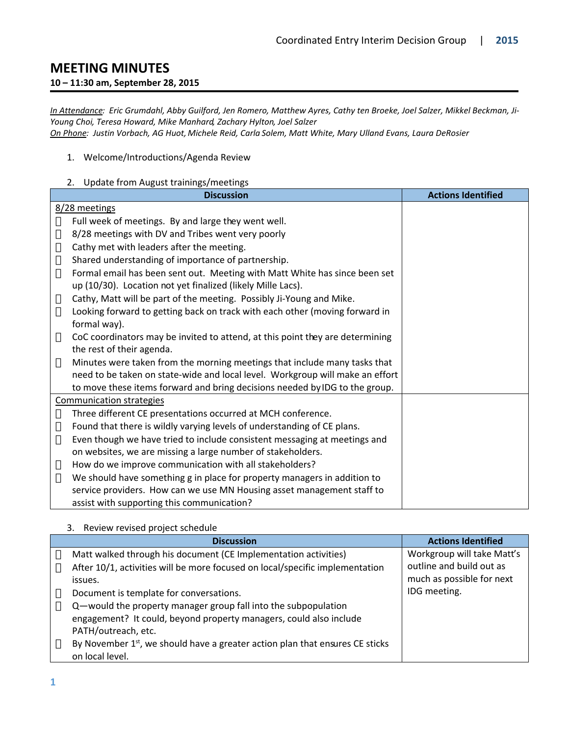# **MEETING MINUTES**

### **10 – 11:30 am, September 28, 2015**

*In Attendance: Eric Grumdahl, Abby Guilford, Jen Romero, Matthew Ayres, Cathy ten Broeke, Joel Salzer, Mikkel Beckman, Ji-Young Choi, Teresa Howard, Mike Manhard, Zachary Hylton, Joel Salzer*

*On Phone: Justin Vorbach, AG Huot, Michele Reid, Carla Solem, Matt White, Mary Ulland Evans, Laura DeRosier*

#### 1. Welcome/Introductions/Agenda Review

# 2. Update from August trainings/meetings

| <b>Discussion</b>                                                             | <b>Actions Identified</b> |
|-------------------------------------------------------------------------------|---------------------------|
| 8/28 meetings                                                                 |                           |
| Full week of meetings. By and large they went well.                           |                           |
| 8/28 meetings with DV and Tribes went very poorly                             |                           |
| Cathy met with leaders after the meeting.                                     |                           |
| Shared understanding of importance of partnership.                            |                           |
| Formal email has been sent out. Meeting with Matt White has since been set    |                           |
| up (10/30). Location not yet finalized (likely Mille Lacs).                   |                           |
| Cathy, Matt will be part of the meeting. Possibly Ji-Young and Mike.          |                           |
| Looking forward to getting back on track with each other (moving forward in   |                           |
| formal way).                                                                  |                           |
| CoC coordinators may be invited to attend, at this point they are determining |                           |
| the rest of their agenda.                                                     |                           |
| Minutes were taken from the morning meetings that include many tasks that     |                           |
| need to be taken on state-wide and local level. Workgroup will make an effort |                           |
| to move these items forward and bring decisions needed by IDG to the group.   |                           |
| <b>Communication strategies</b>                                               |                           |
| Three different CE presentations occurred at MCH conference.                  |                           |
| Found that there is wildly varying levels of understanding of CE plans.       |                           |
| Even though we have tried to include consistent messaging at meetings and     |                           |
| on websites, we are missing a large number of stakeholders.                   |                           |
| How do we improve communication with all stakeholders?                        |                           |
| We should have something g in place for property managers in addition to      |                           |
| service providers. How can we use MN Housing asset management staff to        |                           |
| assist with supporting this communication?                                    |                           |

#### 3. Review revised project schedule

| <b>Discussion</b>                                                                         | <b>Actions Identified</b>  |
|-------------------------------------------------------------------------------------------|----------------------------|
| Matt walked through his document (CE Implementation activities)                           | Workgroup will take Matt's |
| After 10/1, activities will be more focused on local/specific implementation              | outline and build out as   |
| issues.                                                                                   | much as possible for next  |
| Document is template for conversations.                                                   | IDG meeting.               |
| Q-would the property manager group fall into the subpopulation                            |                            |
| engagement? It could, beyond property managers, could also include                        |                            |
| PATH/outreach, etc.                                                                       |                            |
| By November 1 <sup>st</sup> , we should have a greater action plan that ensures CE sticks |                            |
| on local level.                                                                           |                            |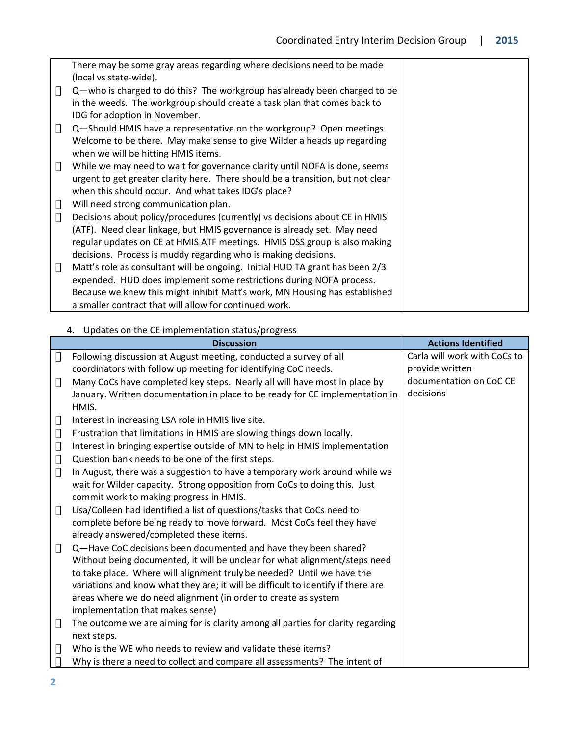| There may be some gray areas regarding where decisions need to be made          |  |
|---------------------------------------------------------------------------------|--|
| (local vs state-wide).                                                          |  |
| Q-who is charged to do this? The workgroup has already been charged to be       |  |
| in the weeds. The workgroup should create a task plan that comes back to        |  |
| IDG for adoption in November.                                                   |  |
| Q-Should HMIS have a representative on the workgroup? Open meetings.            |  |
| Welcome to be there. May make sense to give Wilder a heads up regarding         |  |
| when we will be hitting HMIS items.                                             |  |
| While we may need to wait for governance clarity until NOFA is done, seems      |  |
| urgent to get greater clarity here. There should be a transition, but not clear |  |
| when this should occur. And what takes IDG's place?                             |  |
| Will need strong communication plan.                                            |  |
| Decisions about policy/procedures (currently) vs decisions about CE in HMIS     |  |
| (ATF). Need clear linkage, but HMIS governance is already set. May need         |  |
| regular updates on CE at HMIS ATF meetings. HMIS DSS group is also making       |  |
| decisions. Process is muddy regarding who is making decisions.                  |  |
| Matt's role as consultant will be ongoing. Initial HUD TA grant has been 2/3    |  |
| expended. HUD does implement some restrictions during NOFA process.             |  |
| Because we knew this might inhibit Matt's work, MN Housing has established      |  |
| a smaller contract that will allow for continued work.                          |  |

# 4. Updates on the CE implementation status/progress

| <b>Discussion</b>                                                                | <b>Actions Identified</b>    |
|----------------------------------------------------------------------------------|------------------------------|
| Following discussion at August meeting, conducted a survey of all                | Carla will work with CoCs to |
| coordinators with follow up meeting for identifying CoC needs.                   | provide written              |
| Many CoCs have completed key steps. Nearly all will have most in place by        | documentation on CoC CE      |
| January. Written documentation in place to be ready for CE implementation in     | decisions                    |
| HMIS.                                                                            |                              |
| Interest in increasing LSA role in HMIS live site.                               |                              |
| Frustration that limitations in HMIS are slowing things down locally.            |                              |
| Interest in bringing expertise outside of MN to help in HMIS implementation      |                              |
| Question bank needs to be one of the first steps.                                |                              |
| In August, there was a suggestion to have a temporary work around while we       |                              |
| wait for Wilder capacity. Strong opposition from CoCs to doing this. Just        |                              |
| commit work to making progress in HMIS.                                          |                              |
| Lisa/Colleen had identified a list of questions/tasks that CoCs need to          |                              |
| complete before being ready to move forward. Most CoCs feel they have            |                              |
| already answered/completed these items.                                          |                              |
| Q-Have CoC decisions been documented and have they been shared?                  |                              |
| Without being documented, it will be unclear for what alignment/steps need       |                              |
| to take place. Where will alignment truly be needed? Until we have the           |                              |
| variations and know what they are; it will be difficult to identify if there are |                              |
| areas where we do need alignment (in order to create as system                   |                              |
| implementation that makes sense)                                                 |                              |
| The outcome we are aiming for is clarity among all parties for clarity regarding |                              |
| next steps.                                                                      |                              |
| Who is the WE who needs to review and validate these items?                      |                              |
| Why is there a need to collect and compare all assessments? The intent of        |                              |